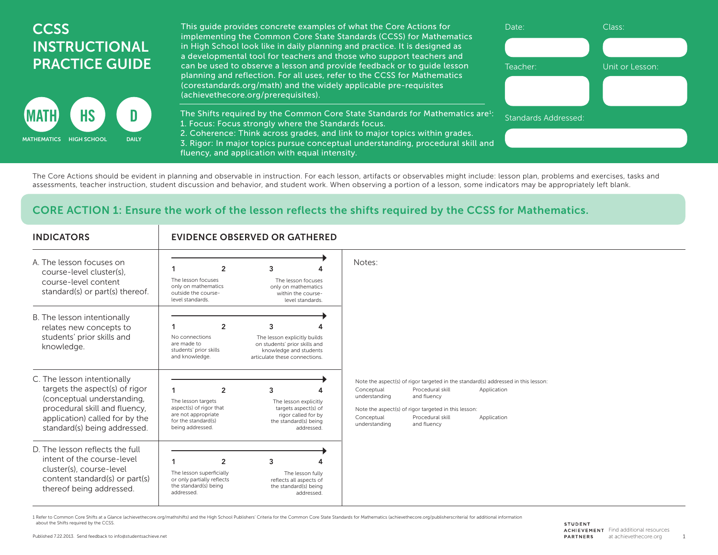## **CCSS** INSTRUCTIONAL PRACTICE GUIDE



This guide provides concrete examples of what the Core Actions for implementing the Common Core State Standards (CCSS) for Mathematics in High School look like in daily planning and practice. It is designed as a developmental tool for teachers and those who support teachers and can be used to observe a lesson and provide feedback or to guide lesson planning and reflection. For all uses, refer to the CCSS for Mathematics (corestandards.org/math) and the widely applicable pre-requisites (achievethecore.org/prerequisites).

The Shifts required by the Common Core State Standards for Mathematics are $i$ : 1. Focus: Focus strongly where the Standards focus.

2. Coherence: Think across grades, and link to major topics within grades.

3. Rigor: In major topics pursue conceptual understanding, procedural skill and fluency, and application with equal intensity.

The Core Actions should be evident in planning and observable in instruction. For each lesson, artifacts or observables might include: lesson plan, problems and exercises, tasks and assessments, teacher instruction, student discussion and behavior, and student work. When observing a portion of a lesson, some indicators may be appropriately left blank.

## CORE ACTION 1: Ensure the work of the lesson reflects the shifts required by the CCSS for Mathematics.

| <b>INDICATORS</b>                                                                                                                                                                              |                                                                                                                                   | <b>EVIDENCE OBSERVED OR GATHERED</b>                                                                                          |                                                                                                                                                                                                                                                                                                             |
|------------------------------------------------------------------------------------------------------------------------------------------------------------------------------------------------|-----------------------------------------------------------------------------------------------------------------------------------|-------------------------------------------------------------------------------------------------------------------------------|-------------------------------------------------------------------------------------------------------------------------------------------------------------------------------------------------------------------------------------------------------------------------------------------------------------|
| A The lesson focuses on<br>course-level cluster(s).<br>course-level content<br>standard(s) or part(s) thereof.                                                                                 | $\overline{2}$<br>The lesson focuses<br>only on mathematics<br>outside the course-<br>level standards.                            | 3<br>The lesson focuses<br>only on mathematics<br>within the course-<br>level standards.                                      | Notes:                                                                                                                                                                                                                                                                                                      |
| B. The lesson intentionally<br>relates new concepts to<br>students' prior skills and<br>knowledge.                                                                                             | $\overline{2}$<br>No connections<br>are made to<br>students' prior skills<br>and knowledge.                                       | 3<br>The lesson explicitly builds<br>on students' prior skills and<br>knowledge and students<br>articulate these connections. |                                                                                                                                                                                                                                                                                                             |
| C. The lesson intentionally<br>targets the aspect(s) of rigor<br>(conceptual understanding,<br>procedural skill and fluency,<br>application) called for by the<br>standard(s) being addressed. | $\overline{2}$<br>The lesson targets<br>aspect(s) of rigor that<br>are not appropriate<br>for the standard(s)<br>being addressed. | 3<br>The lesson explicitly<br>targets aspect(s) of<br>rigor called for by<br>the standard(s) being<br>addressed.              | Note the aspect(s) of rigor targeted in the standard(s) addressed in this lesson:<br>Procedural skill<br>Conceptual<br>Application<br>and fluency<br>understanding<br>Note the aspect(s) of rigor targeted in this lesson:<br>Conceptual<br>Procedural skill<br>Application<br>understanding<br>and fluency |
| D. The lesson reflects the full<br>intent of the course-level<br>cluster(s), course-level<br>content standard(s) or part(s)<br>thereof being addressed.                                        | $\overline{2}$<br>The lesson superficially<br>or only partially reflects<br>the standard(s) being<br>addressed.                   | 3<br>The lesson fully<br>reflects all aspects of<br>the standard(s) being<br>addressed.                                       |                                                                                                                                                                                                                                                                                                             |

1 Refer to Common Core Shifts at a Glance (achievethecore.org/mathshifts) and the High School Publishers' Criteria for the Common Core State Standards for Mathematics (achievethecore.org/publisherscriteria) for additional about the Shifts required by the CCSS.

Date: Class:

Standards Addressed:

Teacher: Unit or Lesson: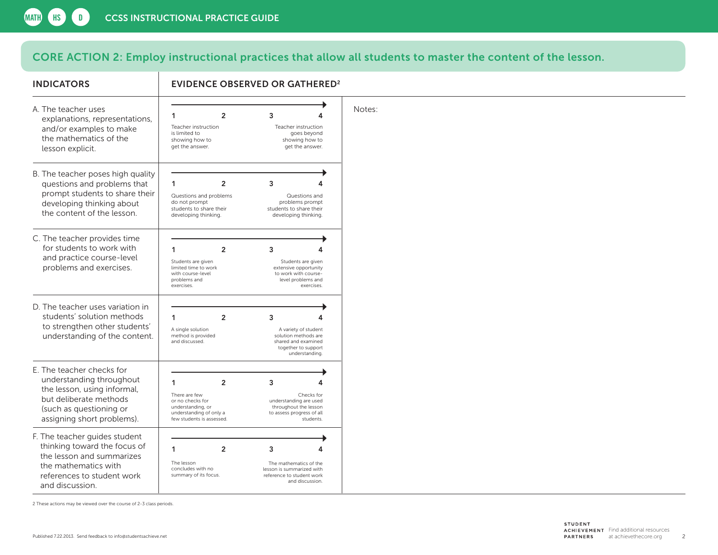## CORE ACTION 2: Employ instructional practices that allow all students to master the content of the lesson.

| <b>INDICATORS</b>                                                                                                                                                       | <b>EVIDENCE OBSERVED OR GATHERED<sup>2</sup></b>                                                                                      |                                                                                                                        |        |  |  |  |  |  |
|-------------------------------------------------------------------------------------------------------------------------------------------------------------------------|---------------------------------------------------------------------------------------------------------------------------------------|------------------------------------------------------------------------------------------------------------------------|--------|--|--|--|--|--|
| A. The teacher uses<br>explanations, representations,<br>and/or examples to make<br>the mathematics of the<br>lesson explicit.                                          | 1<br>$\overline{2}$<br>Teacher instruction<br>is limited to<br>showing how to<br>get the answer.                                      | 3<br>Teacher instruction<br>goes beyond<br>showing how to<br>get the answer.                                           | Notes: |  |  |  |  |  |
| B. The teacher poses high quality<br>questions and problems that<br>prompt students to share their<br>developing thinking about<br>the content of the lesson.           | 1<br>$\overline{2}$<br>Questions and problems<br>do not prompt<br>students to share their<br>developing thinking.                     | 3<br>Δ<br>Questions and<br>problems prompt<br>students to share their<br>developing thinking.                          |        |  |  |  |  |  |
| C. The teacher provides time<br>for students to work with<br>and practice course-level<br>problems and exercises.                                                       | 1<br>$\overline{2}$<br>Students are given<br>limited time to work<br>with course-level<br>problems and<br>exercises.                  | 3<br>4<br>Students are given<br>extensive opportunity<br>to work with course-<br>level problems and<br>exercises.      |        |  |  |  |  |  |
| D. The teacher uses variation in<br>students' solution methods<br>to strengthen other students'<br>understanding of the content.                                        | 1<br>$\overline{2}$<br>A single solution<br>method is provided<br>and discussed.                                                      | 3<br>4<br>A variety of student<br>solution methods are<br>shared and examined<br>together to support<br>understanding. |        |  |  |  |  |  |
| E. The teacher checks for<br>understanding throughout<br>the lesson, using informal,<br>but deliberate methods<br>(such as questioning or<br>assigning short problems). | 1<br>$\overline{2}$<br>There are few<br>or no checks for<br>understanding, or<br>understanding of only a<br>few students is assessed. | 3<br>4<br>Checks for<br>understanding are used<br>throughout the lesson<br>to assess progress of all<br>students.      |        |  |  |  |  |  |
| F. The teacher guides student<br>thinking toward the focus of<br>the lesson and summarizes<br>the mathematics with<br>references to student work<br>and discussion.     | 1<br>$\overline{2}$<br>The lesson<br>concludes with no<br>summary of its focus.                                                       | 3<br>4<br>The mathematics of the<br>lesson is summarized with<br>reference to student work<br>and discussion.          |        |  |  |  |  |  |

2 These actions may be viewed over the course of 2-3 class periods.